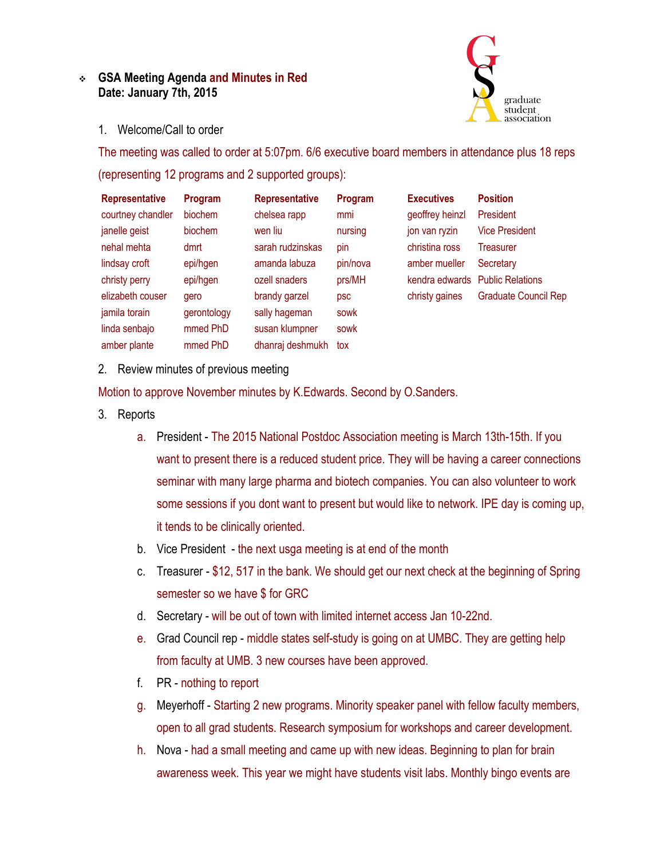## **GSA Meeting Agenda and Minutes in Red Date: January 7th, 2015**



1. Welcome/Call to order

The meeting was called to order at 5:07pm. 6/6 executive board members in attendance plus 18 reps (representing 12 programs and 2 supported groups):

| <b>Representative</b> | Program     | <b>Representative</b> | Program  | <b>Executives</b> | <b>Position</b>                 |
|-----------------------|-------------|-----------------------|----------|-------------------|---------------------------------|
| courtney chandler     | biochem     | chelsea rapp          | mmi      | geoffrey heinzl   | President                       |
| janelle geist         | biochem     | wen liu               | nursing  | jon van ryzin     | <b>Vice President</b>           |
| nehal mehta           | dmrt        | sarah rudzinskas      | pin      | christina ross    | Treasurer                       |
| lindsay croft         | epi/hgen    | amanda labuza         | pin/nova | amber mueller     | Secretary                       |
| christy perry         | epi/hgen    | ozell snaders         | prs/MH   |                   | kendra edwards Public Relations |
| elizabeth couser      | gero        | brandy garzel         | psc      | christy gaines    | <b>Graduate Council Rep</b>     |
| jamila torain         | gerontology | sally hageman         | sowk     |                   |                                 |
| linda senbajo         | mmed PhD    | susan klumpner        | sowk     |                   |                                 |
| amber plante          | mmed PhD    | dhanraj deshmukh      | tox      |                   |                                 |

2. Review minutes of previous meeting

Motion to approve November minutes by K.Edwards. Second by O.Sanders.

- 3. Reports
	- a. President The 2015 National Postdoc Association meeting is March 13th-15th. If you want to present there is a reduced student price. They will be having a career connections seminar with many large pharma and biotech companies. You can also volunteer to work some sessions if you dont want to present but would like to network. IPE day is coming up, it tends to be clinically oriented.
	- b. Vice President the next usga meeting is at end of the month
	- c. Treasurer \$12, 517 in the bank. We should get our next check at the beginning of Spring semester so we have \$ for GRC
	- d. Secretary will be out of town with limited internet access Jan 10-22nd.
	- e. Grad Council rep middle states self-study is going on at UMBC. They are getting help from faculty at UMB. 3 new courses have been approved.
	- f. PR nothing to report
	- g. Meyerhoff Starting 2 new programs. Minority speaker panel with fellow faculty members, open to all grad students. Research symposium for workshops and career development.
	- h. Nova had a small meeting and came up with new ideas. Beginning to plan for brain awareness week. This year we might have students visit labs. Monthly bingo events are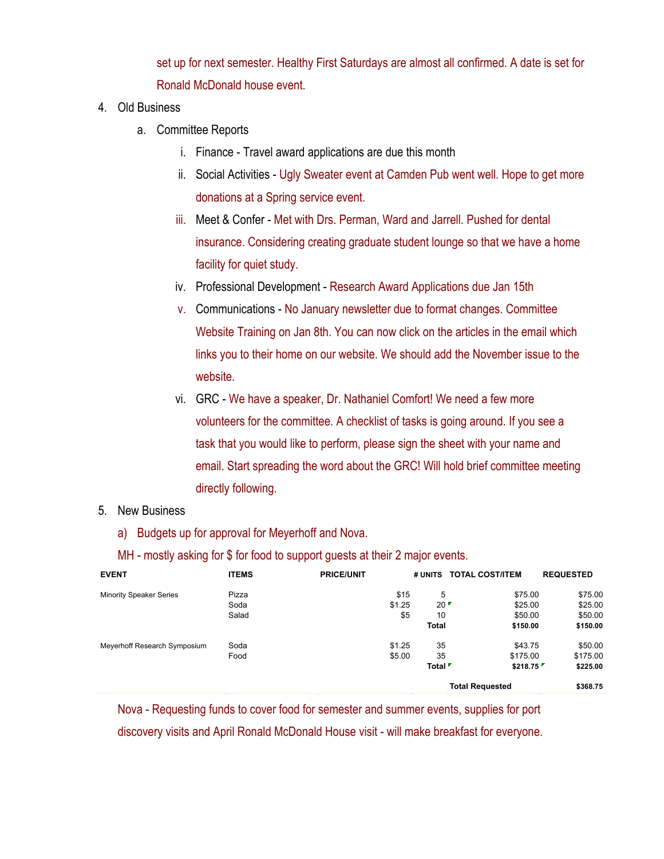set up for next semester. Healthy First Saturdays are almost all confirmed. A date is set for Ronald McDonald house event.

- 4. Old Business
	- a. Committee Reports
		- i. Finance Travel award applications are due this month
		- ii. Social Activities Ugly Sweater event at Camden Pub went well. Hope to get more donations at a Spring service event.
		- iii. Meet & Confer Met with Drs. Perman, Ward and Jarrell. Pushed for dental insurance. Considering creating graduate student lounge so that we have a home facility for quiet study.
		- iv. Professional Development Research Award Applications due Jan 15th
		- v. Communications No January newsletter due to format changes. Committee Website Training on Jan 8th. You can now click on the articles in the email which links you to their home on our website. We should add the November issue to the website.
		- vi. GRC We have a speaker, Dr. Nathaniel Comfort! We need a few more volunteers for the committee. A checklist of tasks is going around. If you see a task that you would like to perform, please sign the sheet with your name and email. Start spreading the word about the GRC! Will hold brief committee meeting directly following.

## 5. New Business

a) Budgets up for approval for Meyerhoff and Nova.

| <b>EVENT</b>                   | <b>ITEMS</b> | <b>PRICE/UNIT</b> | # UNITS                | <b>TOTAL COST/ITEM</b> | <b>REQUESTED</b> |
|--------------------------------|--------------|-------------------|------------------------|------------------------|------------------|
| <b>Minority Speaker Series</b> | Pizza        | \$15              | 5                      | \$75.00                | \$75.00          |
|                                | Soda         | \$1.25            | 20                     | \$25.00                | \$25.00          |
|                                | Salad        | \$5               | 10                     | \$50.00                | \$50.00          |
|                                |              |                   | <b>Total</b>           | \$150.00               | \$150.00         |
| Meyerhoff Research Symposium   | Soda         | \$1.25            | 35                     | \$43.75                | \$50.00          |
|                                | Food         | \$5.00            | 35                     | \$175.00               | \$175.00         |
|                                |              |                   | Total <sup>F</sup>     | \$218.75               | \$225.00         |
|                                |              |                   | <b>Total Requested</b> |                        | \$368.75         |

MH - mostly asking for \$ for food to support quests at their 2 major events.

Nova - Requesting funds to cover food for semester and summer events, supplies for port discovery visits and April Ronald McDonald House visit - will make breakfast for everyone.